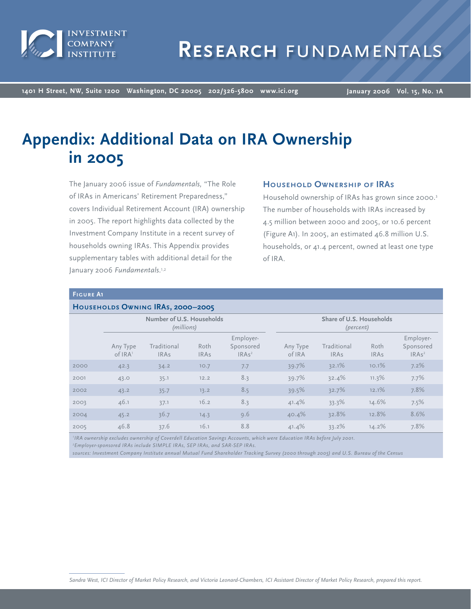

**1401 H Street, NW, Suite 1200 Washington, DC 20005 202/326-5800 www.ici.org**

**January 2006 Vol. 15, No. 1A**

# **Appendix: Additional Data on IRA Ownership in 2005**

The January 2006 issue of *Fundamentals,* "The Role of IRAs in Americans' Retirement Preparedness," covers Individual Retirement Account (IRA) ownership in 2005. The report highlights data collected by the Investment Company Institute in a recent survey of households owning IRAs. This Appendix provides supplementary tables with additional detail for the January 2006 *Fundamentals*.1,2

## **Household Ownership of IRAs**

Household ownership of IRAs has grown since 2000.<sup>3</sup> The number of households with IRAs increased by 4.5 million between 2000 and 2005, or 10.6 percent (Figure A1). In 2005, an estimated 46.8 million U.S. households, or 41.4 percent, owned at least one type of IRA.

#### **Figure A1**

#### **Households Owning IRAs, 2000–2005**

|      |                                 | Number of U.S. Households<br>(millions) |                     |                                             |                    | Share of U.S. Households<br>(percent) |                     |                                             |
|------|---------------------------------|-----------------------------------------|---------------------|---------------------------------------------|--------------------|---------------------------------------|---------------------|---------------------------------------------|
|      | Any Type<br>of IRA <sup>1</sup> | Traditional<br><b>IRAs</b>              | Roth<br><b>IRAs</b> | Employer-<br>Sponsored<br>IRAs <sup>2</sup> | Any Type<br>of IRA | Traditional<br><b>IRAs</b>            | Roth<br><b>IRAs</b> | Employer-<br>Sponsored<br>IRAs <sup>2</sup> |
| 2000 | 42.3                            | 34.2                                    | 10.7                | 7.7                                         | 39.7%              | 32.1%                                 | 10.1%               | 7.2%                                        |
| 2001 | 43.0                            | 35.1                                    | 12.2                | 8.3                                         | 39.7%              | 32.4%                                 | 11.3%               | 7.7%                                        |
| 2002 | 43.2                            | 35.7                                    | 13.2                | 8.5                                         | 39.5%              | 32.7%                                 | 12.1%               | 7.8%                                        |
| 2003 | 46.1                            | 37.1                                    | 16.2                | 8.3                                         | 41.4%              | 33.3%                                 | 14.6%               | 7.5%                                        |
| 2004 | 45.2                            | 36.7                                    | 14.3                | 9.6                                         | 40.4%              | 32.8%                                 | 12.8%               | 8.6%                                        |
| 2005 | 46.8                            | 37.6                                    | 16.1                | 8.8                                         | 41.4%              | 33.2%                                 | 14.2%               | 7.8%                                        |

*1 IRA ownership excludes ownership of Coverdell Education Savings Accounts, which were Education IRAs before July 2001.*

*2 Employer-sponsored IRAs include SIMPLE IRAs, SEP IRAs, and SAR-SEP IRAs.*

*sources: Investment Company Institute annual Mutual Fund Shareholder Tracking Survey (2000 through 2005) and U.S. Bureau of the Census*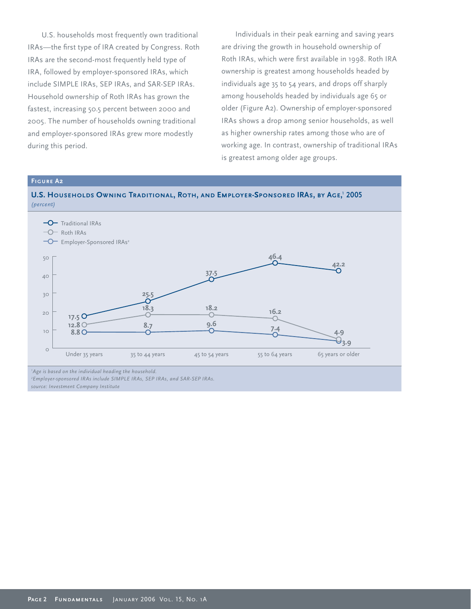U.S. households most frequently own traditional IRAs-the first type of IRA created by Congress. Roth IRAs are the second-most frequently held type of IRA, followed by employer-sponsored IRAs, which include SIMPLE IRAs, SEP IRAs, and SAR-SEP IRAs. Household ownership of Roth IRAs has grown the fastest, increasing 50.5 percent between 2000 and 2005. The number of households owning traditional and employer-sponsored IRAs grew more modestly during this period.

Individuals in their peak earning and saving years are driving the growth in household ownership of Roth IRAs, which were first available in 1998. Roth IRA ownership is greatest among households headed by individuals age 35 to 54 years, and drops off sharply among households headed by individuals age 65 or older (Figure A2). Ownership of employer-sponsored IRAs shows a drop among senior households, as well as higher ownership rates among those who are of working age. In contrast, ownership of traditional IRAs is greatest among older age groups.

#### **Figure A2**





*1 Age is based on the individual heading the household. 2 Employer-sponsored IRAs include SIMPLE IRAs, SEP IRAs, and SAR-SEP IRAs.*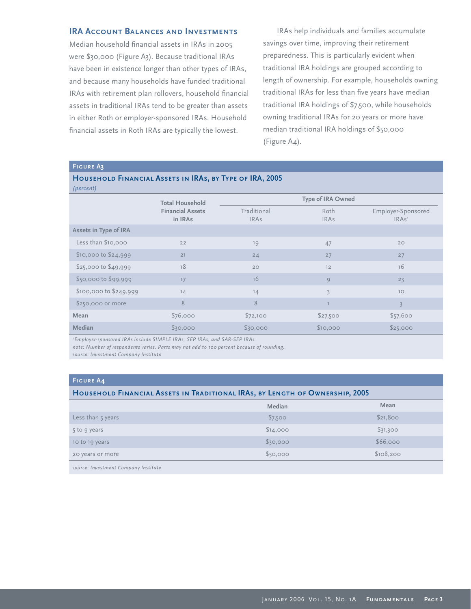## **IRA ACCOUNT BALANCES AND INVESTMENTS**

Median household financial assets in IRAs in 2005 were \$30,000 (Figure A3). Because traditional IRAs have been in existence longer than other types of IRAs, and because many households have funded traditional IRAs with retirement plan rollovers, household financial assets in traditional IRAs tend to be greater than assets in either Roth or employer-sponsored IRAs. Household financial assets in Roth IRAs are typically the lowest.

IRAs help individuals and families accumulate savings over time, improving their retirement preparedness. This is particularly evident when traditional IRA holdings are grouped according to length of ownership. For example, households owning traditional IRAs for less than five years have median traditional IRA holdings of \$7,500, while households owning traditional IRAs for 20 years or more have median traditional IRA holdings of \$50,000 (Figure A4).

#### **Figure A3**

## **Household Financial Assets in IRAs, by Type of IRA, 2005**

| (percent) |  |  |  |  |  |  |  |
|-----------|--|--|--|--|--|--|--|
|-----------|--|--|--|--|--|--|--|

| (percent)              |                                    |                            |                     |                                         |  |  |
|------------------------|------------------------------------|----------------------------|---------------------|-----------------------------------------|--|--|
|                        | <b>Total Household</b>             | Type of IRA Owned          |                     |                                         |  |  |
|                        | <b>Financial Assets</b><br>in IRAs | Traditional<br><b>IRAs</b> | Roth<br><b>IRAs</b> | Employer-Sponsored<br>IRAs <sup>1</sup> |  |  |
| Assets in Type of IRA  |                                    |                            |                     |                                         |  |  |
| Less than \$10,000     | 22                                 | 19                         | 47                  | 20                                      |  |  |
| $$10,000$ to $$24,999$ | 21                                 | 24                         | 27                  | 27                                      |  |  |
| \$25,000 to \$49,999   | 18                                 | 20                         | 12                  | 16                                      |  |  |
| \$50,000 to \$99,999   | 17                                 | 16                         | 9                   | 23                                      |  |  |
| \$100,000 to \$249,999 | 14                                 | 14                         | $\overline{3}$      | 10                                      |  |  |
| \$250,000 or more      | 8                                  | 8                          |                     | $\overline{3}$                          |  |  |
| Mean                   | \$76,000                           | \$72,100                   | \$27,500            | \$57,600                                |  |  |
| Median                 | \$30,000                           | \$30,000                   | \$10,000            | \$25,000                                |  |  |
|                        |                                    |                            |                     |                                         |  |  |

*1 Employer-sponsored IRAs include SIMPLE IRAs, SEP IRAs, and SAR-SEP IRAs.*

*note: Number of respondents varies. Parts may not add to 100 percent because of rounding.*

*source: Investment Company Institute*

## **Figure A4**

#### **Household Financial Assets in Traditional IRAs, by Length of Ownership, 2005**

|                   | Median   | Mean      |
|-------------------|----------|-----------|
| Less than 5 years | \$7,500  | \$21,800  |
| 5 to 9 years      | \$14,000 | \$31,300  |
| 10 to 19 years    | \$30,000 | \$66,000  |
| 20 years or more  | \$50,000 | \$108,200 |
|                   |          |           |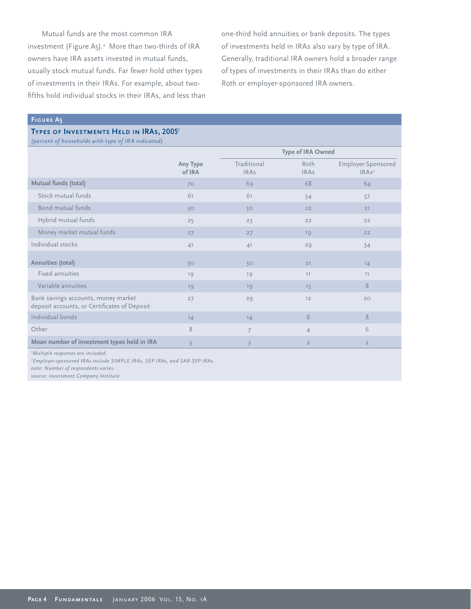Mutual funds are the most common IRA investment (Figure A5).<sup>4</sup> More than two-thirds of IRA owners have IRA assets invested in mutual funds, usually stock mutual funds. Far fewer hold other types of investments in their IRAs. For example, about twofifths hold individual stocks in their IRAs, and less than one-third hold annuities or bank deposits. The types of investments held in IRAs also vary by type of IRA. Generally, traditional IRA owners hold a broader range of types of investments in their IRAs than do either Roth or employer-sponsored IRA owners.

#### **Figure A5**

## **TYPES OF INVESTMENTS HELD IN IRAS, 20051**

*(percent of households with type of IRA indicated)*

| (percent of nousenous with type of IRA indicated)                                   |                    |                            |                     |                                         |
|-------------------------------------------------------------------------------------|--------------------|----------------------------|---------------------|-----------------------------------------|
|                                                                                     |                    |                            | Type of IRA Owned   |                                         |
|                                                                                     | Any Type<br>of IRA | Traditional<br><b>IRAs</b> | Roth<br><b>IRAs</b> | Employer-Sponsored<br>IRAs <sup>2</sup> |
| Mutual funds (total)                                                                | 70                 | 69                         | 68                  | 64                                      |
| Stock mutual funds                                                                  | 61                 | 61                         | 54                  | 57                                      |
| Bond mutual funds                                                                   | 30                 | 30                         | 22                  | 21                                      |
| Hybrid mutual funds                                                                 | 25                 | 23                         | 22                  | 22                                      |
| Money market mutual funds                                                           | 27                 | 27                         | 19                  | 22                                      |
| Individual stocks                                                                   | 4 <sup>1</sup>     | 4 <sup>1</sup>             | 29                  | 34                                      |
| Annuities (total)                                                                   | 30                 | 30                         | 21                  | 14                                      |
| Fixed annuities                                                                     | 19                 | 19                         | 11                  | 11                                      |
| Variable annuities                                                                  | 19                 | 19                         | 15                  | 8                                       |
| Bank savings accounts, money market<br>deposit accounts, or Certificates of Deposit | 27                 | 29                         | 12                  | 20                                      |
| Individual bonds                                                                    | 14                 | 14                         | 8                   | 8                                       |
| Other                                                                               | 8                  | $\overline{7}$             | $\overline{4}$      | 6                                       |
| Mean number of investment types held in IRA                                         | $\overline{3}$     | $\overline{3}$             | $\overline{2}$      | $\overline{2}$                          |

*1 Multiple responses are included.*

*2 Employer-sponsored IRAs include SIMPLE IRAs, SEP IRAs, and SAR-SEP IRAs.*

*note: Number of respondents varies.*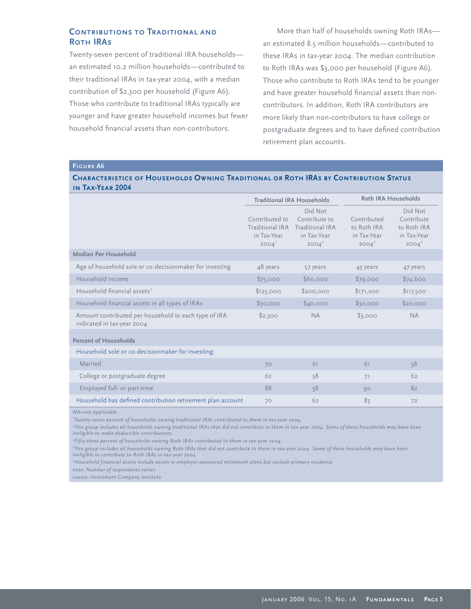# **Contributions to Traditional and Roth IRAs**

Twenty-seven percent of traditional IRA households an estimated 10.2 million households—contributed to their traditional IRAs in tax-year 2004, with a median contribution of \$2,300 per household (Figure A6). Those who contribute to traditional IRAs typically are younger and have greater household incomes but fewer household financial assets than non-contributors.

More than half of households owning Roth IRAs an estimated 8.5 million households—contributed to these IRAs in tax-year 2004. The median contribution to Roth IRAs was \$3,000 per household (Figure A6). Those who contribute to Roth IRAs tend to be younger and have greater household financial assets than noncontributors. In addition, Roth IRA contributors are more likely than non-contributors to have college or postgraduate degrees and to have defined contribution retirement plan accounts.

## **Figure A6**

## **Characteristics of Households Owning Traditional or Roth IRAs by Contribution Status in Tax-Year 2004**

|                                                                                    | <b>Traditional IRA Households</b>                            |                                                                        |                                                       | <b>Roth IRA Households</b>                                               |
|------------------------------------------------------------------------------------|--------------------------------------------------------------|------------------------------------------------------------------------|-------------------------------------------------------|--------------------------------------------------------------------------|
|                                                                                    | Contributed to<br>Traditional IRA<br>in Tax-Year<br>$2004^1$ | Did Not<br>Contribute to<br>Traditional IRA<br>in Tax-Year<br>$2004^2$ | Contributed<br>to Roth IRA<br>in Tax-Year<br>$2004^3$ | Did Not<br>Contribute<br>to Roth IRA<br>in Tax-Year<br>2004 <sup>4</sup> |
| Median Per Household                                                               |                                                              |                                                                        |                                                       |                                                                          |
| Age of household sole or co-decisionmaker for investing                            | 48 years                                                     | 57 years                                                               | 43 years                                              | 47 years                                                                 |
| Household income                                                                   | \$75,000                                                     | \$60,000                                                               | \$79,000                                              | \$74,600                                                                 |
| Household financial assets <sup>5</sup>                                            | \$125,000                                                    | \$200,000                                                              | \$171,200                                             | \$117,500                                                                |
| Household financial assets in all types of IRAs                                    | \$30,000                                                     | \$40,000                                                               | \$30,000                                              | \$20,000                                                                 |
| Amount contributed per household to each type of IRA<br>indicated in tax-year 2004 | \$2,300                                                      | <b>NA</b>                                                              | \$3,000                                               | <b>NA</b>                                                                |
| <b>Percent of Households</b>                                                       |                                                              |                                                                        |                                                       |                                                                          |
| Household sole or co-decisionmaker for investing:                                  |                                                              |                                                                        |                                                       |                                                                          |
| Married                                                                            | 70                                                           | 61                                                                     | 61                                                    | 58                                                                       |
| College or postgraduate degree                                                     | 62                                                           | 58                                                                     | 71                                                    | 62                                                                       |
| Employed full- or part-time                                                        | 88                                                           | 58                                                                     | 90                                                    | 82                                                                       |
| Household has defined contribution retirement plan account                         | 70                                                           | 62                                                                     | 83                                                    | 72                                                                       |

*NA=not applicable*

*1 Twenty-seven percent of households owning traditional IRAs contributed to them in tax-year 2004.*

*2 This group includes all households owning traditional IRAs that did not contribute to them in tax-year 2004. Some of these households may have been ineligible to make deductible contributions.* 

*3 Fifty-three percent of households owning Roth IRAs contributed to them in tax-year 2004.*

*4 This group includes all households owning Roth IRAs that did not contribute to them in tax-year 2004. Some of these households may have been ineligible to contribute to Roth IRAs in tax-year 2004.* 

*5 Household financial assets include assets in employer-sponsored retirement plans but exclude primary residence.*

*note: Number of respondents varies.*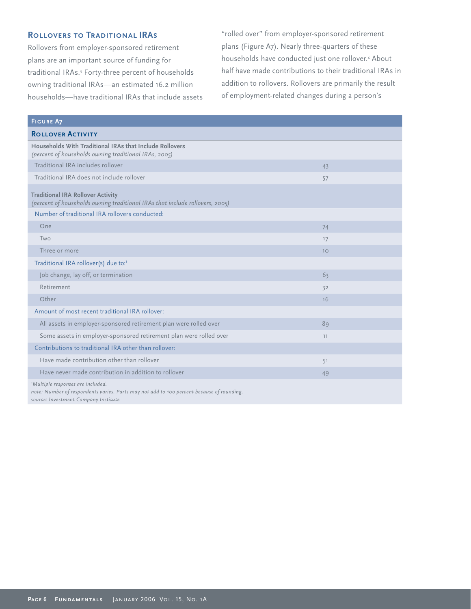# **ROLLOVERS TO TRADITIONAL IRAS**

Rollovers from employer-sponsored retirement plans are an important source of funding for traditional IRAs.5 Forty-three percent of households owning traditional IRAs—an estimated 16.2 million households—have traditional IRAs that include assets "rolled over" from employer-sponsored retirement plans (Figure A7). Nearly three-quarters of these households have conducted just one rollover.<sup>6</sup> About half have made contributions to their traditional IRAs in addition to rollovers. Rollovers are primarily the result of employment-related changes during a person's

| <b>FIGURE A7</b>                                                                                                               |    |  |
|--------------------------------------------------------------------------------------------------------------------------------|----|--|
| <b>ROLLOVER ACTIVITY</b>                                                                                                       |    |  |
| Households With Traditional IRAs that Include Rollovers<br>(percent of households owning traditional IRAs, 2005)               |    |  |
| Traditional IRA includes rollover                                                                                              | 43 |  |
| Traditional IRA does not include rollover                                                                                      | 57 |  |
| <b>Traditional IRA Rollover Activity</b><br>(percent of households owning traditional IRAs that include rollovers, 2005)       |    |  |
| Number of traditional IRA rollovers conducted:                                                                                 |    |  |
| One                                                                                                                            | 74 |  |
| Two                                                                                                                            | 17 |  |
| Three or more                                                                                                                  | 10 |  |
| Traditional IRA rollover(s) due to:1                                                                                           |    |  |
| Job change, lay off, or termination                                                                                            | 63 |  |
| Retirement                                                                                                                     | 32 |  |
| Other                                                                                                                          | 16 |  |
| Amount of most recent traditional IRA rollover:                                                                                |    |  |
| All assets in employer-sponsored retirement plan were rolled over                                                              | 89 |  |
| Some assets in employer-sponsored retirement plan were rolled over                                                             | 11 |  |
| Contributions to traditional IRA other than rollover:                                                                          |    |  |
| Have made contribution other than rollover                                                                                     | 51 |  |
| Have never made contribution in addition to rollover                                                                           | 49 |  |
| 'Multiple responses are included.<br>note: Number of respondents varies. Parts may not add to 100 percent because of rounding. |    |  |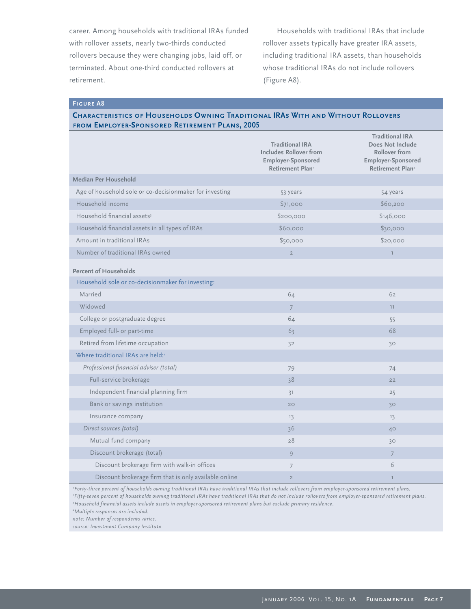career. Among households with traditional IRAs funded with rollover assets, nearly two-thirds conducted rollovers because they were changing jobs, laid off, or terminated. About one-third conducted rollovers at retirement.

Households with traditional IRAs that include rollover assets typically have greater IRA assets, including traditional IRA assets, than households whose traditional IRAs do not include rollovers (Figure A8).

**Figure A8**

## **Characteristics of Households Owning Traditional IRAs With and Without Rollovers from Employer-Sponsored Retirement Plans, 2005**

|                                                         | <b>Traditional IRA</b><br><b>Includes Rollover from</b><br>Employer-Sponsored<br>Retirement Plan | <b>Traditional IRA</b><br>Does Not Include<br><b>Rollover from</b><br>Employer-Sponsored<br>Retirement Plan <sup>2</sup> |
|---------------------------------------------------------|--------------------------------------------------------------------------------------------------|--------------------------------------------------------------------------------------------------------------------------|
| Median Per Household                                    |                                                                                                  |                                                                                                                          |
| Age of household sole or co-decisionmaker for investing | 53 years                                                                                         | 54 years                                                                                                                 |
| Household income                                        | \$71,000                                                                                         | \$60,200                                                                                                                 |
| Household financial assets <sup>3</sup>                 | \$200,000                                                                                        | \$146,000                                                                                                                |
| Household financial assets in all types of IRAs         | \$60,000                                                                                         | \$30,000                                                                                                                 |
| Amount in traditional IRAs                              | \$50,000                                                                                         | \$20,000                                                                                                                 |
| Number of traditional IRAs owned                        | $\overline{2}$                                                                                   | $\mathbb T$                                                                                                              |
| <b>Percent of Households</b>                            |                                                                                                  |                                                                                                                          |
| Household sole or co-decisionmaker for investing:       |                                                                                                  |                                                                                                                          |
| Married                                                 | 64                                                                                               | 62                                                                                                                       |
| Widowed                                                 | $\overline{7}$                                                                                   | 11                                                                                                                       |
| College or postgraduate degree                          | 64                                                                                               | 55                                                                                                                       |
| Employed full- or part-time                             | 63                                                                                               | 68                                                                                                                       |
| Retired from lifetime occupation                        | 32                                                                                               | 30                                                                                                                       |
| Where traditional IRAs are held:4                       |                                                                                                  |                                                                                                                          |
| Professional financial adviser (total)                  | 79                                                                                               | 74                                                                                                                       |
| Full-service brokerage                                  | 38                                                                                               | 22                                                                                                                       |
| Independent financial planning firm                     | 31                                                                                               | 25                                                                                                                       |
| Bank or savings institution                             | 20                                                                                               | 30                                                                                                                       |
| Insurance company                                       | 13                                                                                               | 13                                                                                                                       |
| Direct sources (total)                                  | 36                                                                                               | 40                                                                                                                       |
| Mutual fund company                                     | 28                                                                                               | 30                                                                                                                       |
| Discount brokerage (total)                              | 9                                                                                                | $\overline{7}$                                                                                                           |
| Discount brokerage firm with walk-in offices            | $\overline{7}$                                                                                   | 6                                                                                                                        |
| Discount brokerage firm that is only available online   | $\overline{2}$                                                                                   | $\mathbb{I}$                                                                                                             |

*1 Forty-three percent of households owning traditional IRAs have traditional IRAs that include rollovers from employer-sponsored retirement plans. 2 Fifty-seven percent of households owning traditional IRAs have traditional IRAs that do not include rollovers from employer-sponsored retirement plans. 3 Household financial assets include assets in employer-sponsored retirement plans but exclude primary residence.*

*4 Multiple responses are included.* 

*note: Number of respondents varies.*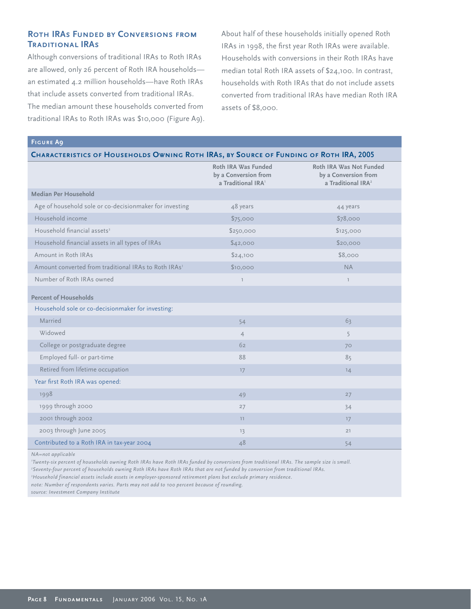# **Roth IRAs Funded by Conversions from Traditional IRAs**

Although conversions of traditional IRAs to Roth IRAs are allowed, only 26 percent of Roth IRA households an estimated 4.2 million households—have Roth IRAs that include assets converted from traditional IRAs. The median amount these households converted from traditional IRAs to Roth IRAs was \$10,000 (Figure A9). About half of these households initially opened Roth IRAs in 1998, the first year Roth IRAs were available. Households with conversions in their Roth IRAs have median total Roth IRA assets of \$24,100. In contrast, households with Roth IRAs that do not include assets converted from traditional IRAs have median Roth IRA assets of \$8,000.

| CHARACTERISTICS OF HOUSEHOLDS OWNING ROTH IRAS, BY SOURCE OF FUNDING OF ROTH IRA, 2005 |                                                                               |                                                                                   |  |  |  |
|----------------------------------------------------------------------------------------|-------------------------------------------------------------------------------|-----------------------------------------------------------------------------------|--|--|--|
|                                                                                        | Roth IRA Was Funded<br>by a Conversion from<br>a Traditional IRA <sup>1</sup> | Roth IRA Was Not Funded<br>by a Conversion from<br>a Traditional IRA <sup>2</sup> |  |  |  |
| Median Per Household                                                                   |                                                                               |                                                                                   |  |  |  |
| Age of household sole or co-decisionmaker for investing                                | 48 years                                                                      | 44 years                                                                          |  |  |  |
| Household income                                                                       | \$75,000                                                                      | \$78,000                                                                          |  |  |  |
| Household financial assets <sup>3</sup>                                                | \$250,000                                                                     | \$125,000                                                                         |  |  |  |
| Household financial assets in all types of IRAs                                        | \$42,000                                                                      | \$20,000                                                                          |  |  |  |
| Amount in Roth IRAs                                                                    | \$24,100                                                                      | \$8,000                                                                           |  |  |  |
| Amount converted from traditional IRAs to Roth IRAs <sup>1</sup>                       | \$10,000                                                                      | <b>NA</b>                                                                         |  |  |  |
| Number of Roth IRAs owned                                                              | $\overline{1}$                                                                | $\mathbb{I}$                                                                      |  |  |  |
| <b>Percent of Households</b>                                                           |                                                                               |                                                                                   |  |  |  |
| Household sole or co-decisionmaker for investing:                                      |                                                                               |                                                                                   |  |  |  |
| Married                                                                                | 54                                                                            | 63                                                                                |  |  |  |
| Widowed                                                                                | $\overline{4}$                                                                | 5                                                                                 |  |  |  |
| College or postgraduate degree                                                         | 62                                                                            | 70                                                                                |  |  |  |
| Employed full- or part-time                                                            | 88                                                                            | 85                                                                                |  |  |  |
| Retired from lifetime occupation                                                       | 17                                                                            | 14                                                                                |  |  |  |
| Year first Roth IRA was opened:                                                        |                                                                               |                                                                                   |  |  |  |
| 1998                                                                                   | 49                                                                            | 27                                                                                |  |  |  |
| 1999 through 2000                                                                      | 27                                                                            | 34                                                                                |  |  |  |
| 2001 through 2002                                                                      | 11                                                                            | 17                                                                                |  |  |  |
| 2003 through June 2005                                                                 | 13                                                                            | 21                                                                                |  |  |  |
| Contributed to a Roth IRA in tax-year 2004                                             | 48                                                                            | 54                                                                                |  |  |  |

*NA=not applicable*

**Figure A9**

*1 Twenty-six percent of households owning Roth IRAs have Roth IRAs funded by conversions from traditional IRAs. The sample size is small. 2 Seventy-four percent of households owning Roth IRAs have Roth IRAs that are not funded by conversion from traditional IRAs. 3 Household financial assets include assets in employer-sponsored retirement plans but exclude primary residence.*

*note: Number of respondents varies. Parts may not add to 100 percent because of rounding.*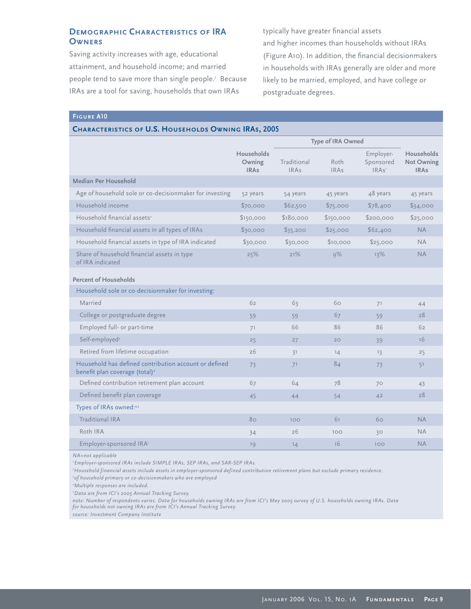## **Demographic Characteristics of IRA Owners**

Saving activity increases with age, educational attainment, and household income; and married people tend to save more than single people.7 Because IRAs are a tool for saving, households that own IRAs

typically have greater financial assets and higher incomes than households without IRAs (Figure A10). In addition, the financial decisionmakers in households with IRAs generally are older and more likely to be married, employed, and have college or postgraduate degrees.

## **Figure A10**

## **Characteristics of U.S. Households Owning IRAs, 2005**

|                                                                                                     |                                            | Type of IRA Owned          |                     |                                             |                                                       |
|-----------------------------------------------------------------------------------------------------|--------------------------------------------|----------------------------|---------------------|---------------------------------------------|-------------------------------------------------------|
|                                                                                                     | <b>Households</b><br>Owning<br><b>IRAs</b> | Traditional<br><b>IRAs</b> | Roth<br><b>IRAs</b> | Employer-<br>Sponsored<br>IRAs <sup>1</sup> | <b>Households</b><br><b>Not Owning</b><br><b>IRAs</b> |
| <b>Median Per Household</b>                                                                         |                                            |                            |                     |                                             |                                                       |
| Age of household sole or co-decisionmaker for investing                                             | 52 years                                   | 54 years                   | 45 years            | 48 years                                    | 45 years                                              |
| Household income                                                                                    | \$70,000                                   | \$62,500                   | \$75,000            | \$78,400                                    | \$34,000                                              |
| Household financial assets <sup>2</sup>                                                             | \$150,000                                  | \$180,000                  | \$150,000           | \$200,000                                   | \$25,000                                              |
| Household financial assets in all types of IRAs                                                     | \$30,000                                   | \$35,200                   | \$25,000            | \$62,400                                    | <b>NA</b>                                             |
| Household financial assets in type of IRA indicated                                                 | \$30,000                                   | \$30,000                   | \$10,000            | \$25,000                                    | <b>NA</b>                                             |
| Share of household financial assets in type<br>of IRA indicated                                     | 25%                                        | 21%                        | 9%                  | 13%                                         | <b>NA</b>                                             |
| <b>Percent of Households</b>                                                                        |                                            |                            |                     |                                             |                                                       |
| Household sole or co-decisionmaker for investing:                                                   |                                            |                            |                     |                                             |                                                       |
| Married                                                                                             | 62                                         | 63                         | 60                  | 71                                          | 44                                                    |
| College or postgraduate degree                                                                      | 59                                         | 59                         | 67                  | 59                                          | 28                                                    |
| Employed full- or part-time                                                                         | 71                                         | 66                         | 86                  | 86                                          | 62                                                    |
| Self-employed <sup>3</sup>                                                                          | 25                                         | 27                         | 20                  | 39                                          | 16                                                    |
| Retired from lifetime occupation                                                                    | 26                                         | 31                         | 14                  | 13                                          | 25                                                    |
| Household has defined contribution account or defined<br>benefit plan coverage (total) <sup>4</sup> | 73                                         | 71                         | 84                  | 73                                          | 51                                                    |
| Defined contribution retirement plan account                                                        | 67                                         | 64                         | 78                  | 70                                          | 43                                                    |
| Defined benefit plan coverage                                                                       | 45                                         | 44                         | 54                  | 42                                          | 28                                                    |
| Types of IRAs owned:4,5                                                                             |                                            |                            |                     |                                             |                                                       |
| Traditional IRA                                                                                     | 80                                         | 100                        | 61                  | 60                                          | <b>NA</b>                                             |
| Roth IRA                                                                                            | 34                                         | 26                         | 100                 | 30                                          | <b>NA</b>                                             |
| Employer-sponsored IRA <sup>1</sup>                                                                 | 19                                         | 14                         | 16                  | 100                                         | <b>NA</b>                                             |

*NA=not applicable*

*1 Employer-sponsored IRAs include SIMPLE IRAs, SEP IRAs, and SAR-SEP IRAs.* 

*2 Household financial assets include assets in employer-sponsored defined contribution retirement plans but exclude primary residence.*

*3 of household primary or co-decisionmakers who are employed*

*4 Multiple responses are included.* 

*5 Data are from ICI's 2005 Annual Tracking Survey.*

*note: Number of respondents varies. Data for households owning IRAs are from ICI's May 2005 survey of U.S. households owning IRAs. Data for households not owning IRAs are from ICI's Annual Tracking Survey.*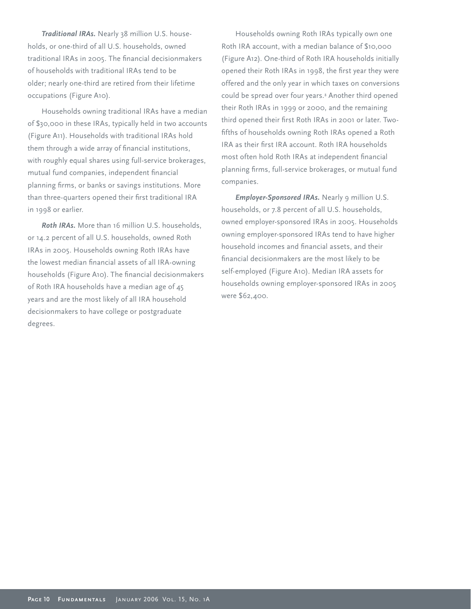*Traditional IRAs.* Nearly 38 million U.S. households, or one-third of all U.S. households, owned traditional IRAs in 2005. The financial decisionmakers of households with traditional IRAs tend to be older; nearly one-third are retired from their lifetime occupations (Figure A10).

Households owning traditional IRAs have a median of \$30,000 in these IRAs, typically held in two accounts (Figure A11). Households with traditional IRAs hold them through a wide array of financial institutions, with roughly equal shares using full-service brokerages, mutual fund companies, independent financial planning firms, or banks or savings institutions. More than three-quarters opened their first traditional IRA in 1998 or earlier.

*Roth IRAs.* More than 16 million U.S. households, or 14.2 percent of all U.S. households, owned Roth IRAs in 2005. Households owning Roth IRAs have the lowest median financial assets of all IRA-owning households (Figure A10). The financial decisionmakers of Roth IRA households have a median age of 45 years and are the most likely of all IRA household decisionmakers to have college or postgraduate degrees.

Households owning Roth IRAs typically own one Roth IRA account, with a median balance of \$10,000 (Figure A12). One-third of Roth IRA households initially opened their Roth IRAs in 1998, the first year they were offered and the only year in which taxes on conversions could be spread over four years.8 Another third opened their Roth IRAs in 1999 or 2000, and the remaining third opened their first Roth IRAs in 2001 or later. Twofifths of households owning Roth IRAs opened a Roth IRA as their first IRA account. Roth IRA households most often hold Roth IRAs at independent financial planning firms, full-service brokerages, or mutual fund companies.

*Employer-Sponsored IRAs.* Nearly 9 million U.S. households, or 7.8 percent of all U.S. households, owned employer-sponsored IRAs in 2005. Households owning employer-sponsored IRAs tend to have higher household incomes and financial assets, and their financial decisionmakers are the most likely to be self-employed (Figure A10). Median IRA assets for households owning employer-sponsored IRAs in 2005 were \$62,400.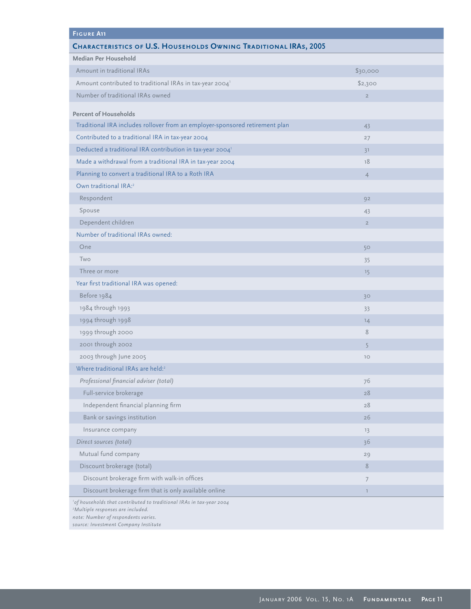| <b>FIGURE A11</b>                                                            |                |  |
|------------------------------------------------------------------------------|----------------|--|
| <b>CHARACTERISTICS OF U.S. HOUSEHOLDS OWNING TRADITIONAL IRAS, 2005</b>      |                |  |
| Median Per Household                                                         |                |  |
| Amount in traditional IRAs                                                   | \$30,000       |  |
| Amount contributed to traditional IRAs in tax-year 2004 <sup>1</sup>         | \$2,300        |  |
| Number of traditional IRAs owned                                             | $\overline{2}$ |  |
| <b>Percent of Households</b>                                                 |                |  |
| Traditional IRA includes rollover from an employer-sponsored retirement plan | 43             |  |
| Contributed to a traditional IRA in tax-year 2004                            | 27             |  |
| Deducted a traditional IRA contribution in tax-year 2004 <sup>1</sup>        | 31             |  |
| Made a withdrawal from a traditional IRA in tax-year 2004                    | 18             |  |
| Planning to convert a traditional IRA to a Roth IRA                          | $\overline{4}$ |  |
| Own traditional IRA: <sup>2</sup>                                            |                |  |
| Respondent                                                                   | 92             |  |
| Spouse                                                                       | 43             |  |
| Dependent children                                                           | $\overline{2}$ |  |
| Number of traditional IRAs owned:                                            |                |  |
| One                                                                          | 50             |  |
| Two                                                                          | 35             |  |
| Three or more                                                                | 15             |  |
| Year first traditional IRA was opened:                                       |                |  |
| Before 1984                                                                  | 30             |  |
| 1984 through 1993                                                            | 33             |  |
| 1994 through 1998                                                            | 14             |  |
| 1999 through 2000                                                            | 8              |  |
| 2001 through 2002                                                            | 5              |  |
| 2003 through June 2005                                                       | 10             |  |
| Where traditional IRAs are held: <sup>2</sup>                                |                |  |
| Professional financial adviser (total)                                       | 76             |  |
| Full-service brokerage                                                       | 28             |  |
| Independent financial planning firm                                          | 28             |  |
| Bank or savings institution                                                  | 26             |  |
| Insurance company                                                            | 13             |  |
| Direct sources (total)                                                       | 36             |  |
| Mutual fund company                                                          | 29             |  |
| Discount brokerage (total)                                                   | 8              |  |
| Discount brokerage firm with walk-in offices                                 | $\overline{7}$ |  |
| Discount brokerage firm that is only available online                        | $\mathbb{I}$   |  |
| 'of households that contributed to traditional IRAs in tax-year 2004         |                |  |

*2 Multiple responses are included.*

*note: Number of respondents varies.*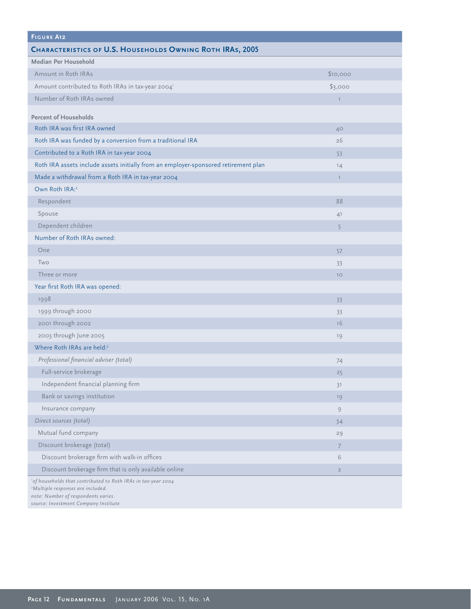| <b>FIGURE A12</b>                                                                                                                                     |                |
|-------------------------------------------------------------------------------------------------------------------------------------------------------|----------------|
| CHARACTERISTICS OF U.S. HOUSEHOLDS OWNING ROTH IRAS, 2005                                                                                             |                |
| Median Per Household                                                                                                                                  |                |
| Amount in Roth IRAs                                                                                                                                   | \$10,000       |
| Amount contributed to Roth IRAs in tax-year 2004 <sup>1</sup>                                                                                         | \$3,000        |
| Number of Roth IRAs owned                                                                                                                             | $\mathbb{I}$   |
|                                                                                                                                                       |                |
| <b>Percent of Households</b><br>Roth IRA was first IRA owned                                                                                          |                |
|                                                                                                                                                       | 40             |
| Roth IRA was funded by a conversion from a traditional IRA                                                                                            | 26             |
| Contributed to a Roth IRA in tax-year 2004                                                                                                            | 53             |
| Roth IRA assets include assets initially from an employer-sponsored retirement plan                                                                   | 14             |
| Made a withdrawal from a Roth IRA in tax-year 2004                                                                                                    | $\mathbb{I}$   |
| Own Roth IRA: <sup>2</sup>                                                                                                                            |                |
| Respondent                                                                                                                                            | 88             |
| Spouse                                                                                                                                                | 41             |
| Dependent children                                                                                                                                    | 5              |
| Number of Roth IRAs owned:                                                                                                                            |                |
| One                                                                                                                                                   | 57             |
| Two                                                                                                                                                   | 33             |
| Three or more                                                                                                                                         | 10             |
| Year first Roth IRA was opened:                                                                                                                       |                |
| 1998                                                                                                                                                  | 33             |
| 1999 through 2000                                                                                                                                     | 33             |
| 2001 through 2002                                                                                                                                     | 16             |
| 2003 through June 2005                                                                                                                                | 19             |
| Where Roth IRAs are held:2                                                                                                                            |                |
| Professional financial adviser (total)                                                                                                                | 74             |
| Full-service brokerage                                                                                                                                | 25             |
| Independent financial planning firm                                                                                                                   | 31             |
| Bank or savings institution                                                                                                                           | 19             |
| Insurance company                                                                                                                                     | 9              |
| Direct sources (total)                                                                                                                                | 34             |
| Mutual fund company                                                                                                                                   | 29             |
| Discount brokerage (total)                                                                                                                            | $\overline{7}$ |
| Discount brokerage firm with walk-in offices                                                                                                          | 6              |
| Discount brokerage firm that is only available online                                                                                                 | $\overline{2}$ |
| 'of households that contributed to Roth IRAs in tax-year 2004<br><sup>2</sup> Multiple responses are included.<br>note: Number of respondents varies. |                |